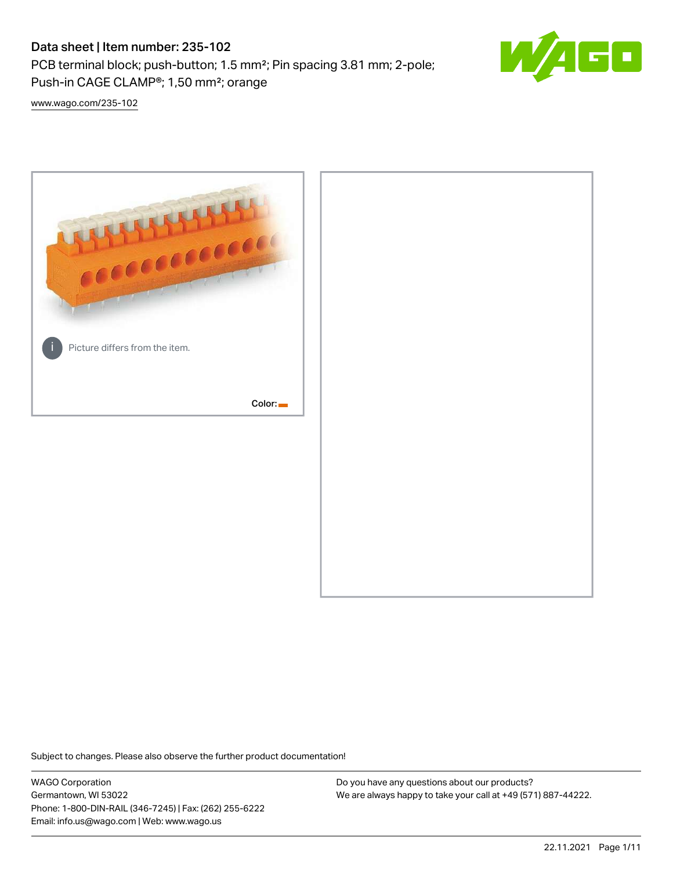# Data sheet | Item number: 235-102

PCB terminal block; push-button; 1.5 mm²; Pin spacing 3.81 mm; 2-pole; Push-in CAGE CLAMP®; 1,50 mm²; orange



[www.wago.com/235-102](http://www.wago.com/235-102)



Subject to changes. Please also observe the further product documentation!

WAGO Corporation Germantown, WI 53022 Phone: 1-800-DIN-RAIL (346-7245) | Fax: (262) 255-6222 Email: info.us@wago.com | Web: www.wago.us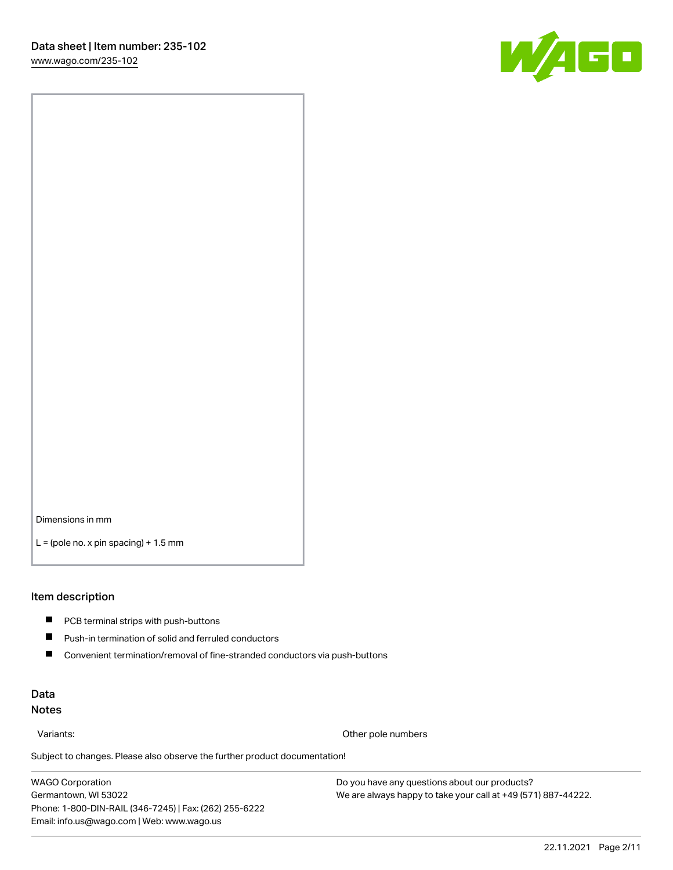

Dimensions in mm

 $L =$  (pole no. x pin spacing) + 1.5 mm

#### Item description

- **PCB terminal strips with push-buttons**
- $\blacksquare$ Push-in termination of solid and ferruled conductors
- $\blacksquare$ Convenient termination/removal of fine-stranded conductors via push-buttons

## Data Notes

Variants: Other pole numbers

Subject to changes. Please also observe the further product documentation! Other colors

WAGO Corporation Germantown, WI 53022 Phone: 1-800-DIN-RAIL (346-7245) | Fax: (262) 255-6222 Email: info.us@wago.com | Web: www.wago.us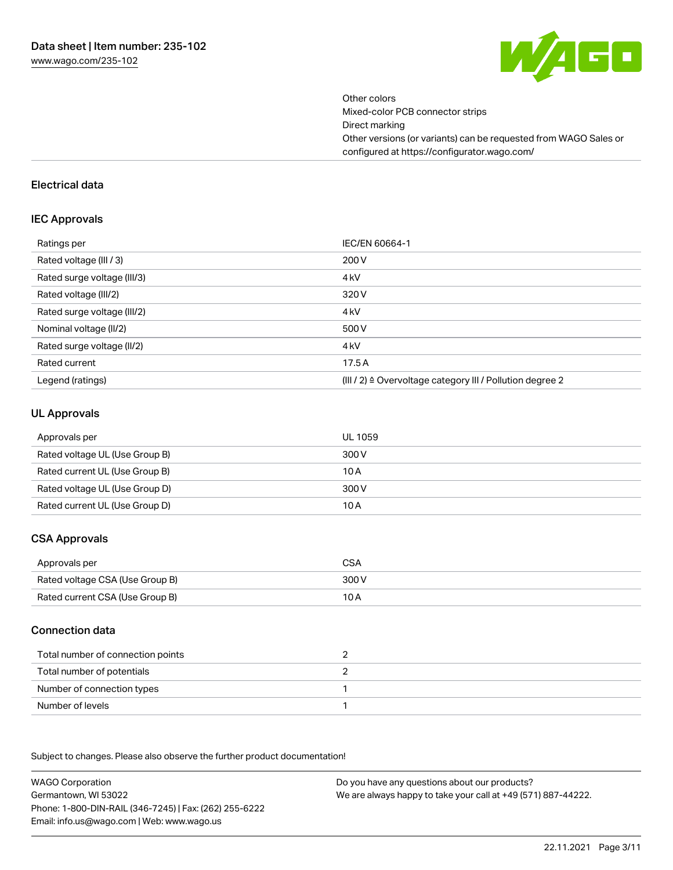

Other colors Mixed-color PCB connector strips Direct marking Other versions (or variants) can be requested from WAGO Sales or configured at https://configurator.wago.com/

#### Electrical data

#### IEC Approvals

| Ratings per                 | IEC/EN 60664-1                                                        |
|-----------------------------|-----------------------------------------------------------------------|
| Rated voltage (III / 3)     | 200 V                                                                 |
| Rated surge voltage (III/3) | 4 <sub>k</sub> V                                                      |
| Rated voltage (III/2)       | 320 V                                                                 |
| Rated surge voltage (III/2) | 4 <sub>k</sub> V                                                      |
| Nominal voltage (II/2)      | 500 V                                                                 |
| Rated surge voltage (II/2)  | 4 <sub>k</sub> V                                                      |
| Rated current               | 17.5A                                                                 |
| Legend (ratings)            | $(III / 2)$ $\triangle$ Overvoltage category III / Pollution degree 2 |

#### UL Approvals

| Approvals per                  | UL 1059 |
|--------------------------------|---------|
| Rated voltage UL (Use Group B) | 300 V   |
| Rated current UL (Use Group B) | 10 A    |
| Rated voltage UL (Use Group D) | 300 V   |
| Rated current UL (Use Group D) | 10 A    |

## CSA Approvals

| Approvals per                   | CSA   |
|---------------------------------|-------|
| Rated voltage CSA (Use Group B) | 300 V |
| Rated current CSA (Use Group B) | 10 A  |

## Connection data

| Total number of connection points |  |
|-----------------------------------|--|
| Total number of potentials        |  |
| Number of connection types        |  |
| Number of levels                  |  |

.<br>Subject to changes. Please also observe the further product documentation!

WAGO Corporation Germantown, WI 53022 Phone: 1-800-DIN-RAIL (346-7245) | Fax: (262) 255-6222 Email: info.us@wago.com | Web: www.wago.us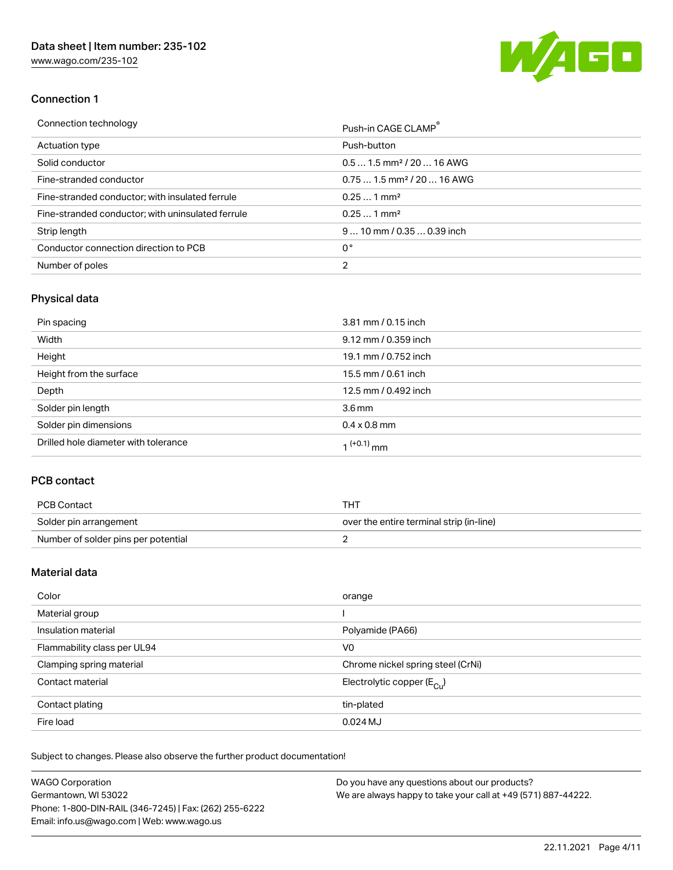[www.wago.com/235-102](http://www.wago.com/235-102)



## Connection 1

| Connection technology                             | Push-in CAGE CLAMP®                    |
|---------------------------------------------------|----------------------------------------|
| Actuation type                                    | Push-button                            |
| Solid conductor                                   | $0.51.5$ mm <sup>2</sup> / 20  16 AWG  |
| Fine-stranded conductor                           | $0.751.5$ mm <sup>2</sup> / 20  16 AWG |
| Fine-stranded conductor; with insulated ferrule   | $0.251$ mm <sup>2</sup>                |
| Fine-stranded conductor; with uninsulated ferrule | $0.251$ mm <sup>2</sup>                |
| Strip length                                      | $910$ mm $/0.350.39$ inch              |
| Conductor connection direction to PCB             | 0°                                     |
| Number of poles                                   | 2                                      |

# Physical data

| Pin spacing                          | 3.81 mm / 0.15 inch    |
|--------------------------------------|------------------------|
| Width                                | 9.12 mm / 0.359 inch   |
| Height                               | 19.1 mm / 0.752 inch   |
| Height from the surface              | 15.5 mm / 0.61 inch    |
| Depth                                | 12.5 mm / 0.492 inch   |
| Solder pin length                    | 3.6 <sub>mm</sub>      |
| Solder pin dimensions                | $0.4 \times 0.8$ mm    |
| Drilled hole diameter with tolerance | 1 <sup>(+0.1)</sup> mm |

## PCB contact

| PCB Contact                         | тнт                                      |
|-------------------------------------|------------------------------------------|
| Solder pin arrangement              | over the entire terminal strip (in-line) |
| Number of solder pins per potential |                                          |

## Material data

| Color                       | orange                                |
|-----------------------------|---------------------------------------|
| Material group              |                                       |
| Insulation material         | Polyamide (PA66)                      |
| Flammability class per UL94 | V0                                    |
| Clamping spring material    | Chrome nickel spring steel (CrNi)     |
| Contact material            | Electrolytic copper $(E_{\text{CL}})$ |
| Contact plating             | tin-plated                            |
| Fire load                   | $0.024$ MJ                            |

Subject to changes. Please also observe the further product documentation!

| <b>WAGO Corporation</b>                                | Do you have any questions about our products?                 |
|--------------------------------------------------------|---------------------------------------------------------------|
| Germantown, WI 53022                                   | We are always happy to take your call at +49 (571) 887-44222. |
| Phone: 1-800-DIN-RAIL (346-7245)   Fax: (262) 255-6222 |                                                               |
| Email: info.us@wago.com   Web: www.wago.us             |                                                               |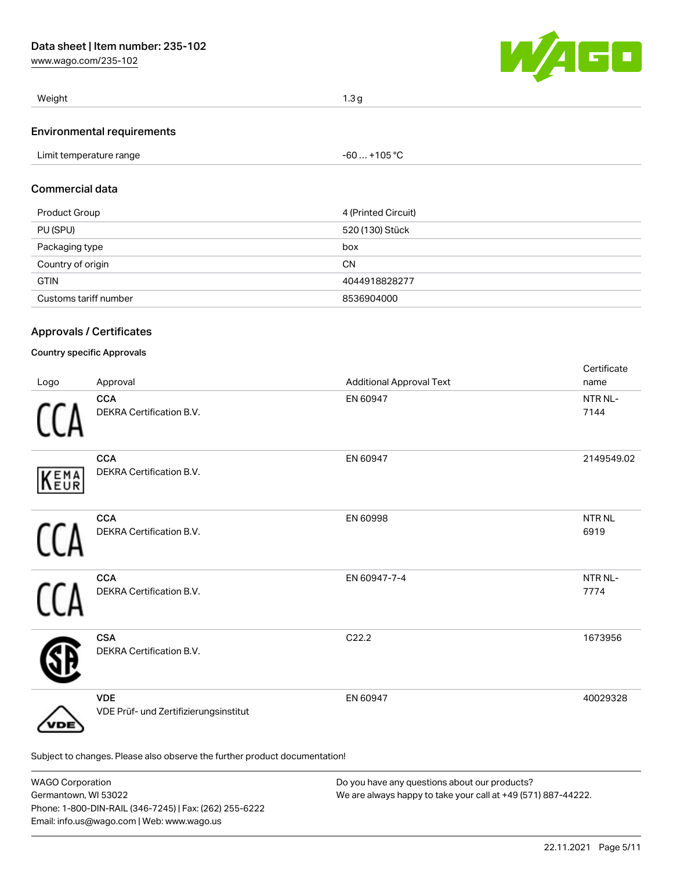[www.wago.com/235-102](http://www.wago.com/235-102)



| Weight                            | 1.3 <sub>q</sub> |
|-----------------------------------|------------------|
| <b>Environmental requirements</b> |                  |

## Commercial data

| Product Group         | 4 (Printed Circuit) |
|-----------------------|---------------------|
| PU (SPU)              | 520 (130) Stück     |
| Packaging type        | box                 |
| Country of origin     | <b>CN</b>           |
| <b>GTIN</b>           | 4044918828277       |
| Customs tariff number | 8536904000          |

## Approvals / Certificates

#### Country specific Approvals

| Logo | Approval                                                                   | <b>Additional Approval Text</b> | Certificate<br>name   |
|------|----------------------------------------------------------------------------|---------------------------------|-----------------------|
|      | <b>CCA</b><br>DEKRA Certification B.V.                                     | EN 60947                        | NTR NL-<br>7144       |
| KEMA | <b>CCA</b><br>DEKRA Certification B.V.                                     | EN 60947                        | 2149549.02            |
|      | <b>CCA</b><br>DEKRA Certification B.V.                                     | EN 60998                        | <b>NTR NL</b><br>6919 |
|      | <b>CCA</b><br>DEKRA Certification B.V.                                     | EN 60947-7-4                    | NTR NL-<br>7774       |
|      | <b>CSA</b><br>DEKRA Certification B.V.                                     | C22.2                           | 1673956               |
| DЕ   | <b>VDE</b><br>VDE Prüf- und Zertifizierungsinstitut                        | EN 60947                        | 40029328              |
|      | Subject to changes. Please also observe the further product documentation! |                                 |                       |

| <b>WAGO Corporation</b>                                | Do you have any questions about our products?                 |  |
|--------------------------------------------------------|---------------------------------------------------------------|--|
| Germantown, WI 53022                                   | We are always happy to take your call at +49 (571) 887-44222. |  |
| Phone: 1-800-DIN-RAIL (346-7245)   Fax: (262) 255-6222 |                                                               |  |
| Email: info.us@wago.com   Web: www.wago.us             |                                                               |  |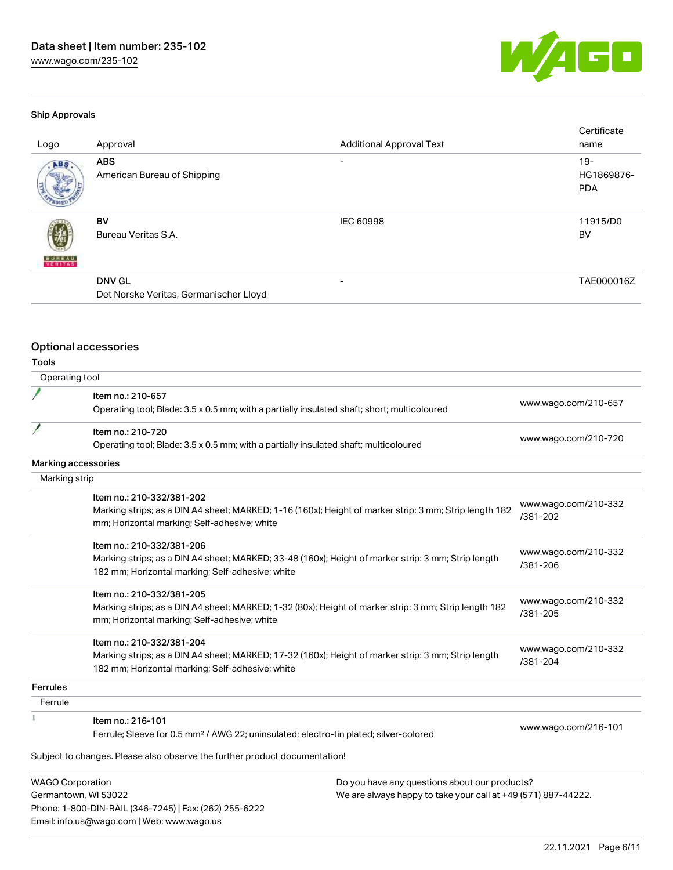[www.wago.com/235-102](http://www.wago.com/235-102)



#### Ship Approvals

| Logo          | Approval                                                | <b>Additional Approval Text</b> | Certificate<br>name               |
|---------------|---------------------------------------------------------|---------------------------------|-----------------------------------|
| ABS.          | <b>ABS</b><br>American Bureau of Shipping               | $\overline{\phantom{0}}$        | $19-$<br>HG1869876-<br><b>PDA</b> |
| <b>BUREAU</b> | BV<br>Bureau Veritas S.A.                               | <b>IEC 60998</b>                | 11915/D0<br>BV                    |
|               | <b>DNV GL</b><br>Det Norske Veritas, Germanischer Lloyd | $\overline{\phantom{0}}$        | TAE000016Z                        |

# Optional accessories

Phone: 1-800-DIN-RAIL (346-7245) | Fax: (262) 255-6222

Email: info.us@wago.com | Web: www.wago.us

## Tools

| Operating tool          |                                                                                                                                                                                                      |                                                                                                                |                                  |
|-------------------------|------------------------------------------------------------------------------------------------------------------------------------------------------------------------------------------------------|----------------------------------------------------------------------------------------------------------------|----------------------------------|
|                         | Item no.: 210-657<br>Operating tool; Blade: 3.5 x 0.5 mm; with a partially insulated shaft; short; multicoloured                                                                                     |                                                                                                                | www.wago.com/210-657             |
| I                       | Item no.: 210-720<br>Operating tool; Blade: 3.5 x 0.5 mm; with a partially insulated shaft; multicoloured                                                                                            |                                                                                                                | www.wago.com/210-720             |
| Marking accessories     |                                                                                                                                                                                                      |                                                                                                                |                                  |
| Marking strip           |                                                                                                                                                                                                      |                                                                                                                |                                  |
|                         | Item no.: 210-332/381-202<br>Marking strips; as a DIN A4 sheet; MARKED; 1-16 (160x); Height of marker strip: 3 mm; Strip length 182<br>mm; Horizontal marking; Self-adhesive; white                  |                                                                                                                | www.wago.com/210-332<br>/381-202 |
|                         | Item no.: 210-332/381-206<br>Marking strips; as a DIN A4 sheet; MARKED; 33-48 (160x); Height of marker strip: 3 mm; Strip length<br>182 mm; Horizontal marking; Self-adhesive; white                 |                                                                                                                | www.wago.com/210-332<br>/381-206 |
|                         | Item no.: 210-332/381-205<br>Marking strips; as a DIN A4 sheet; MARKED; 1-32 (80x); Height of marker strip: 3 mm; Strip length 182<br>mm; Horizontal marking; Self-adhesive; white                   |                                                                                                                | www.wago.com/210-332<br>/381-205 |
|                         | Item no.: 210-332/381-204<br>Marking strips; as a DIN A4 sheet; MARKED; 17-32 (160x); Height of marker strip: 3 mm; Strip length<br>182 mm; Horizontal marking; Self-adhesive; white                 |                                                                                                                | www.wago.com/210-332<br>/381-204 |
| <b>Ferrules</b>         |                                                                                                                                                                                                      |                                                                                                                |                                  |
| Ferrule                 |                                                                                                                                                                                                      |                                                                                                                |                                  |
|                         | Item no.: 216-101<br>Ferrule; Sleeve for 0.5 mm <sup>2</sup> / AWG 22; uninsulated; electro-tin plated; silver-colored<br>Subject to changes. Please also observe the further product documentation! |                                                                                                                | www.wago.com/216-101             |
| <b>WAGO Corporation</b> | Germantown, WI 53022                                                                                                                                                                                 | Do you have any questions about our products?<br>We are always happy to take your call at +49 (571) 887-44222. |                                  |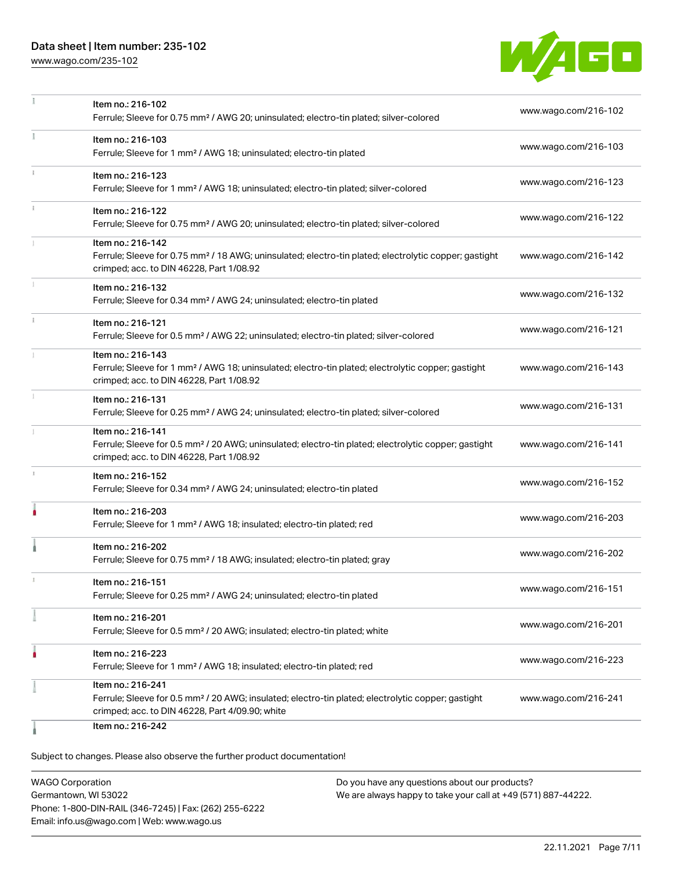## Data sheet | Item number: 235-102

[www.wago.com/235-102](http://www.wago.com/235-102)



|            | Item no.: 216-102                                                                                                                                                 | www.wago.com/216-102 |
|------------|-------------------------------------------------------------------------------------------------------------------------------------------------------------------|----------------------|
|            | Ferrule; Sleeve for 0.75 mm <sup>2</sup> / AWG 20; uninsulated; electro-tin plated; silver-colored                                                                |                      |
|            | Item no.: 216-103                                                                                                                                                 | www.wago.com/216-103 |
|            | Ferrule; Sleeve for 1 mm <sup>2</sup> / AWG 18; uninsulated; electro-tin plated                                                                                   |                      |
| $\ddot{x}$ | Item no.: 216-123                                                                                                                                                 | www.wago.com/216-123 |
|            | Ferrule; Sleeve for 1 mm <sup>2</sup> / AWG 18; uninsulated; electro-tin plated; silver-colored                                                                   |                      |
|            | Item no.: 216-122                                                                                                                                                 | www.wago.com/216-122 |
|            | Ferrule; Sleeve for 0.75 mm <sup>2</sup> / AWG 20; uninsulated; electro-tin plated; silver-colored                                                                |                      |
|            | Item no.: 216-142                                                                                                                                                 |                      |
|            | Ferrule; Sleeve for 0.75 mm <sup>2</sup> / 18 AWG; uninsulated; electro-tin plated; electrolytic copper; gastight<br>crimped; acc. to DIN 46228, Part 1/08.92     | www.wago.com/216-142 |
| 1          |                                                                                                                                                                   |                      |
|            | Item no.: 216-132<br>Ferrule; Sleeve for 0.34 mm <sup>2</sup> / AWG 24; uninsulated; electro-tin plated                                                           | www.wago.com/216-132 |
|            |                                                                                                                                                                   |                      |
|            | Item no.: 216-121<br>Ferrule; Sleeve for 0.5 mm <sup>2</sup> / AWG 22; uninsulated; electro-tin plated; silver-colored                                            | www.wago.com/216-121 |
|            |                                                                                                                                                                   |                      |
|            | Item no.: 216-143<br>Ferrule; Sleeve for 1 mm <sup>2</sup> / AWG 18; uninsulated; electro-tin plated; electrolytic copper; gastight                               | www.wago.com/216-143 |
|            | crimped; acc. to DIN 46228, Part 1/08.92                                                                                                                          |                      |
| 1          | Item no.: 216-131                                                                                                                                                 | www.wago.com/216-131 |
|            | Ferrule; Sleeve for 0.25 mm <sup>2</sup> / AWG 24; uninsulated; electro-tin plated; silver-colored                                                                |                      |
|            | Item no.: 216-141                                                                                                                                                 |                      |
|            | Ferrule; Sleeve for 0.5 mm <sup>2</sup> / 20 AWG; uninsulated; electro-tin plated; electrolytic copper; gastight<br>crimped; acc. to DIN 46228, Part 1/08.92      | www.wago.com/216-141 |
|            |                                                                                                                                                                   |                      |
|            | Item no.: 216-152<br>Ferrule; Sleeve for 0.34 mm <sup>2</sup> / AWG 24; uninsulated; electro-tin plated                                                           | www.wago.com/216-152 |
|            |                                                                                                                                                                   |                      |
|            | Item no.: 216-203<br>Ferrule; Sleeve for 1 mm <sup>2</sup> / AWG 18; insulated; electro-tin plated; red                                                           | www.wago.com/216-203 |
|            |                                                                                                                                                                   |                      |
|            | Item no.: 216-202                                                                                                                                                 | www.wago.com/216-202 |
|            | Ferrule; Sleeve for 0.75 mm <sup>2</sup> / 18 AWG; insulated; electro-tin plated; gray                                                                            |                      |
|            | Item no.: 216-151                                                                                                                                                 | www.wago.com/216-151 |
|            | Ferrule; Sleeve for 0.25 mm <sup>2</sup> / AWG 24; uninsulated; electro-tin plated                                                                                |                      |
|            | Item no.: 216-201                                                                                                                                                 | www.wago.com/216-201 |
|            | Ferrule; Sleeve for 0.5 mm <sup>2</sup> / 20 AWG; insulated; electro-tin plated; white                                                                            |                      |
|            | Item no.: 216-223                                                                                                                                                 | www.wago.com/216-223 |
|            | Ferrule; Sleeve for 1 mm <sup>2</sup> / AWG 18; insulated; electro-tin plated; red                                                                                |                      |
|            | Item no.: 216-241                                                                                                                                                 |                      |
|            | Ferrule; Sleeve for 0.5 mm <sup>2</sup> / 20 AWG; insulated; electro-tin plated; electrolytic copper; gastight<br>crimped; acc. to DIN 46228, Part 4/09.90; white | www.wago.com/216-241 |
|            | Item no.: 216-242                                                                                                                                                 |                      |
|            |                                                                                                                                                                   |                      |

Subject to changes. Please also observe the further product documentation!

WAGO Corporation Germantown, WI 53022 Phone: 1-800-DIN-RAIL (346-7245) | Fax: (262) 255-6222 Email: info.us@wago.com | Web: www.wago.us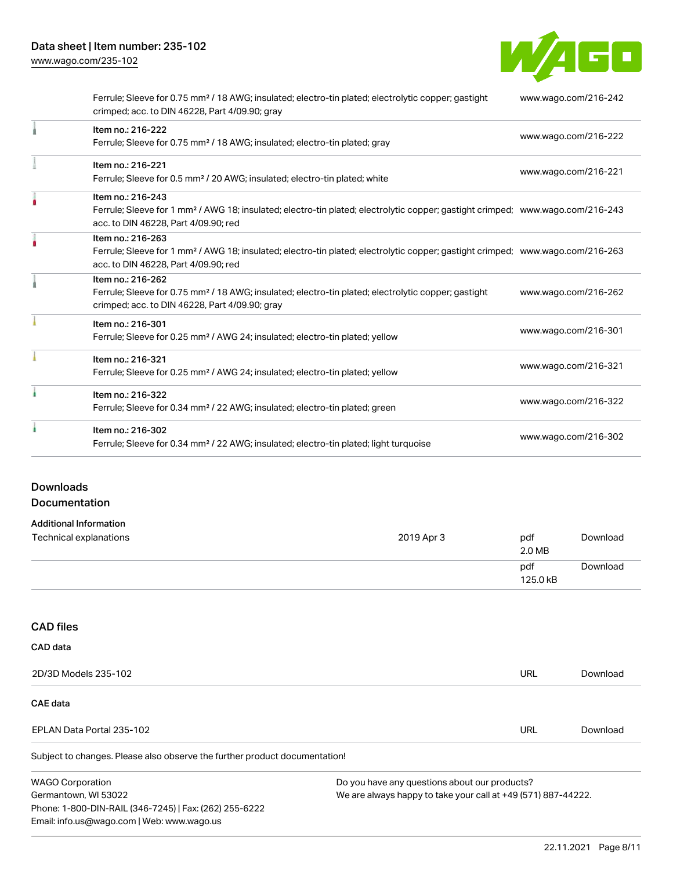W/AGO

| Ferrule; Sleeve for 0.75 mm <sup>2</sup> / 18 AWG; insulated; electro-tin plated; electrolytic copper; gastight<br>crimped; acc. to DIN 46228, Part 4/09.90; gray                                       | www.wago.com/216-242 |
|---------------------------------------------------------------------------------------------------------------------------------------------------------------------------------------------------------|----------------------|
| Item no.: 216-222<br>Ferrule; Sleeve for 0.75 mm <sup>2</sup> / 18 AWG; insulated; electro-tin plated; gray                                                                                             | www.wago.com/216-222 |
| Item no.: 216-221<br>Ferrule; Sleeve for 0.5 mm <sup>2</sup> / 20 AWG; insulated; electro-tin plated; white                                                                                             | www.wago.com/216-221 |
| Item no.: 216-243<br>Ferrule; Sleeve for 1 mm <sup>2</sup> / AWG 18; insulated; electro-tin plated; electrolytic copper; gastight crimped; www.wago.com/216-243<br>acc. to DIN 46228, Part 4/09.90; red |                      |
| Item no.: 216-263<br>Ferrule; Sleeve for 1 mm <sup>2</sup> / AWG 18; insulated; electro-tin plated; electrolytic copper; gastight crimped; www.wago.com/216-263<br>acc. to DIN 46228, Part 4/09.90; red |                      |
| Item no.: 216-262<br>Ferrule; Sleeve for 0.75 mm <sup>2</sup> / 18 AWG; insulated; electro-tin plated; electrolytic copper; gastight<br>crimped; acc. to DIN 46228, Part 4/09.90; gray                  | www.wago.com/216-262 |
| Item no.: 216-301<br>Ferrule; Sleeve for 0.25 mm <sup>2</sup> / AWG 24; insulated; electro-tin plated; yellow                                                                                           | www.wago.com/216-301 |
| Item no.: 216-321<br>Ferrule; Sleeve for 0.25 mm <sup>2</sup> / AWG 24; insulated; electro-tin plated; yellow                                                                                           | www.wago.com/216-321 |
| Item no.: 216-322<br>Ferrule; Sleeve for 0.34 mm <sup>2</sup> / 22 AWG; insulated; electro-tin plated; green                                                                                            | www.wago.com/216-322 |
| Item no.: 216-302<br>Ferrule; Sleeve for 0.34 mm <sup>2</sup> / 22 AWG; insulated; electro-tin plated; light turquoise                                                                                  | www.wago.com/216-302 |

## Downloads Documentation

# Additional Information

| Technical explanations | 2019 Apr 3 | pdf<br>2.0 MB   | Download |
|------------------------|------------|-----------------|----------|
|                        |            | pdf<br>125.0 kB | Download |

## CAD files

| CAD data                                                                   |                                               |          |
|----------------------------------------------------------------------------|-----------------------------------------------|----------|
| 2D/3D Models 235-102                                                       | URL                                           | Download |
| <b>CAE data</b>                                                            |                                               |          |
| EPLAN Data Portal 235-102                                                  | URL                                           | Download |
| Subject to changes. Please also observe the further product documentation! |                                               |          |
| <b>WAGO Corporation</b>                                                    | Do you have any questions about our products? |          |

Germantown, WI 53022 Phone: 1-800-DIN-RAIL (346-7245) | Fax: (262) 255-6222 Email: info.us@wago.com | Web: www.wago.us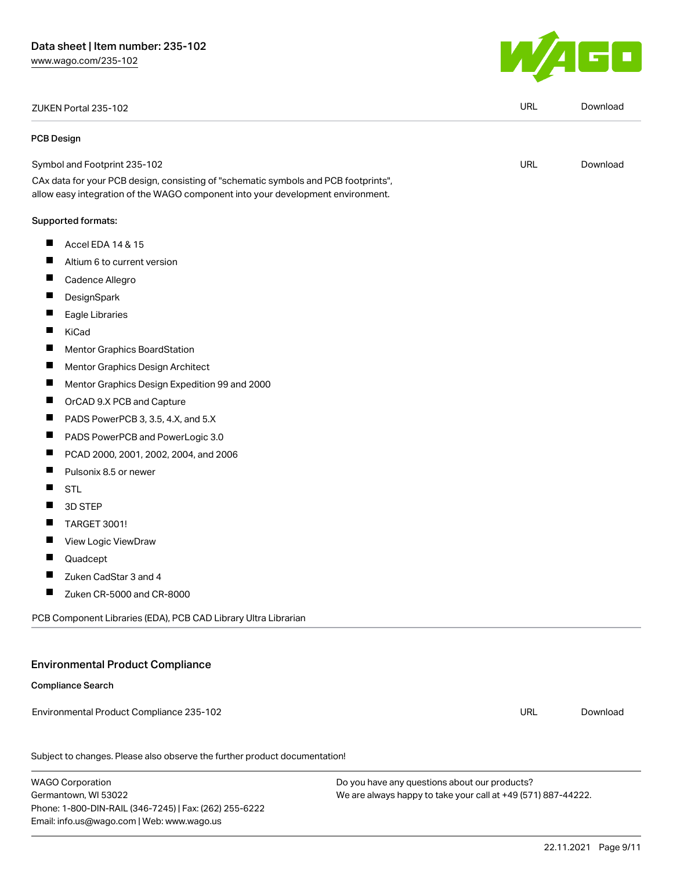ZUKEN Portal 235-102 URL [Download](https://www.wago.com/global/d/Zuken_URLS_235-102)

#### PCB Design

| Symbol and Footprint 235-102                                                        | URL |
|-------------------------------------------------------------------------------------|-----|
| CAx data for your PCB design, consisting of "schematic symbols and PCB footprints", |     |
| allow easy integration of the WAGO component into your development environment.     |     |

#### Supported formats:

- $\blacksquare$ Accel EDA 14 & 15
- $\blacksquare$ Altium 6 to current version
- $\blacksquare$ Cadence Allegro
- П **DesignSpark**
- $\blacksquare$ Eagle Libraries
- $\blacksquare$ KiCad
- $\blacksquare$ Mentor Graphics BoardStation
- $\blacksquare$ Mentor Graphics Design Architect
- $\blacksquare$ Mentor Graphics Design Expedition 99 and 2000
- $\blacksquare$ OrCAD 9.X PCB and Capture
- $\blacksquare$ PADS PowerPCB 3, 3.5, 4.X, and 5.X
- $\blacksquare$ PADS PowerPCB and PowerLogic 3.0
- $\blacksquare$ PCAD 2000, 2001, 2002, 2004, and 2006
- $\blacksquare$ Pulsonix 8.5 or newer
- $\blacksquare$ STL
- $\blacksquare$ 3D STEP
- $\blacksquare$ TARGET 3001!
- П View Logic ViewDraw
- П Quadcept
- $\blacksquare$ Zuken CadStar 3 and 4
- $\blacksquare$ Zuken CR-5000 and CR-8000

PCB Component Libraries (EDA), PCB CAD Library Ultra Librarian

## Environmental Product Compliance

#### Compliance Search

Environmental Product Compliance 235-102

Subject to changes. Please also observe the further product documentation!

WAGO Corporation Germantown, WI 53022 Phone: 1-800-DIN-RAIL (346-7245) | Fax: (262) 255-6222 Email: info.us@wago.com | Web: www.wago.us

Do you have any questions about our products? We are always happy to take your call at +49 (571) 887-44222.



[Download](https://www.wago.com/global/d/UltraLibrarian_URLS_235-102)

URL [Download](https://www.wago.com/global/d/ComplianceLinkMediaContainer_235-102)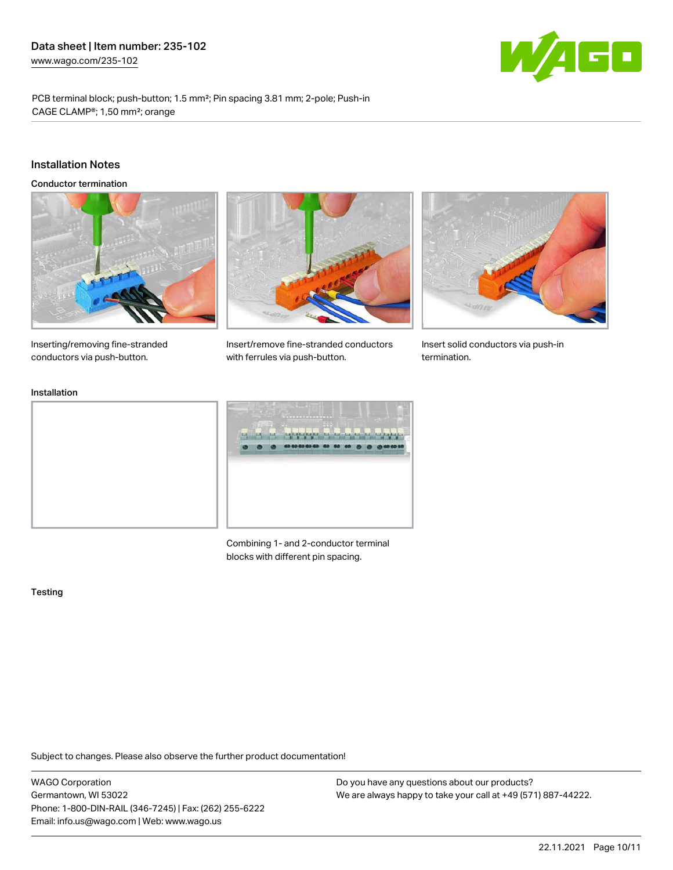

PCB terminal block; push-button; 1.5 mm²; Pin spacing 3.81 mm; 2-pole; Push-in CAGE CLAMP®; 1,50 mm²; orange

#### Installation Notes

Conductor termination







Insert solid conductors via push-in termination.

Inserting/removing fine-stranded conductors via push-button.

#### Installation



Insert/remove fine-stranded conductors

with ferrules via push-button.

Combining 1- and 2-conductor terminal blocks with different pin spacing.

#### **Testing**

Subject to changes. Please also observe the further product documentation!

WAGO Corporation Germantown, WI 53022 Phone: 1-800-DIN-RAIL (346-7245) | Fax: (262) 255-6222 Email: info.us@wago.com | Web: www.wago.us